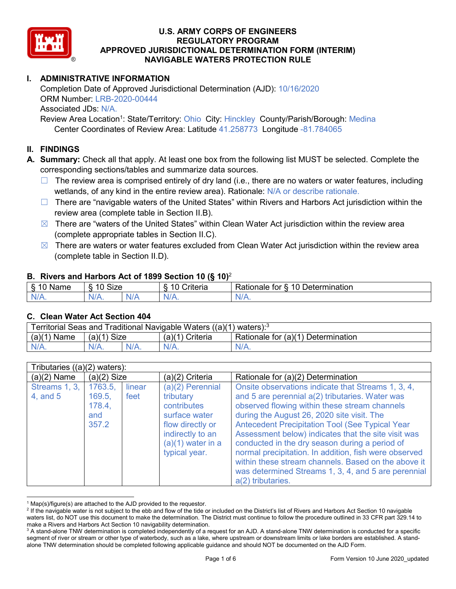

# **I. ADMINISTRATIVE INFORMATION**

Completion Date of Approved Jurisdictional Determination (AJD): 10/16/2020 ORM Number: LRB-2020-00444 Associated JDs: N/A. Review Area Location<sup>1</sup>: State/Territory: Ohio City: Hinckley County/Parish/Borough: Medina

Center Coordinates of Review Area: Latitude 41.258773 Longitude -81.784065

# **II. FINDINGS**

**A. Summary:** Check all that apply. At least one box from the following list MUST be selected. Complete the corresponding sections/tables and summarize data sources.

- $\Box$  The review area is comprised entirely of dry land (i.e., there are no waters or water features, including wetlands, of any kind in the entire review area). Rationale: N/A or describe rationale.
- $\Box$  There are "navigable waters of the United States" within Rivers and Harbors Act jurisdiction within the review area (complete table in Section II.B).
- $\boxtimes$  There are "waters of the United States" within Clean Water Act jurisdiction within the review area (complete appropriate tables in Section II.C).
- $\boxtimes$  There are waters or water features excluded from Clean Water Act jurisdiction within the review area (complete table in Section II.D).

#### **B. Rivers and Harbors Act of 1899 Section 10 (§ 10)**<sup>2</sup>

|                           | . .                  |        |                                                      |                                                 |  |  |  |  |
|---------------------------|----------------------|--------|------------------------------------------------------|-------------------------------------------------|--|--|--|--|
| $\sim$<br>$-$<br>ame<br>◡ | 10<br>$\sim$<br>SIZE |        | .<br>10<br>$"$ rıt $\sim$ rı $\sim$<br><b>AILCIT</b> | Determination<br>$\sqrt{ }$<br>Rationale<br>tor |  |  |  |  |
| $N/A$ .                   | 1M/<br>97 / TV .     | w<br>. | $N/A$ .                                              | $N_{\ell}$<br>$\mathbf{v}$                      |  |  |  |  |

#### **C. Clean Water Act Section 404**

| Territorial Seas and Traditional Navigable Waters $((a)(1)$ waters): <sup>3</sup> |                |  |                                |                                    |  |  |  |
|-----------------------------------------------------------------------------------|----------------|--|--------------------------------|------------------------------------|--|--|--|
| (a)(1)<br>Name                                                                    | (a)(1)<br>Size |  | (a)(1<br><sup>1</sup> Criteria | Rationale for (a)(1) Determination |  |  |  |
|                                                                                   | $N/A$ .        |  | $N/A$ .                        | $N/A$ .                            |  |  |  |

|                           | Tributaries $((a)(2)$ waters):              |                |                                                                                                                                                 |                                                                                                                                                                                                                                                                                                                                                                                                                                                                                                                                                                     |  |  |  |
|---------------------------|---------------------------------------------|----------------|-------------------------------------------------------------------------------------------------------------------------------------------------|---------------------------------------------------------------------------------------------------------------------------------------------------------------------------------------------------------------------------------------------------------------------------------------------------------------------------------------------------------------------------------------------------------------------------------------------------------------------------------------------------------------------------------------------------------------------|--|--|--|
| $(a)(2)$ Name             | $(a)(2)$ Size                               |                | (a)(2) Criteria                                                                                                                                 | Rationale for (a)(2) Determination                                                                                                                                                                                                                                                                                                                                                                                                                                                                                                                                  |  |  |  |
| Streams 1, 3,<br>4, and 5 | 1763.5,<br>169.5,<br>178.4,<br>and<br>357.2 | linear<br>feet | $(a)(2)$ Perennial<br>tributary<br>contributes<br>surface water<br>flow directly or<br>indirectly to an<br>$(a)(1)$ water in a<br>typical year. | Onsite observations indicate that Streams 1, 3, 4,<br>and 5 are perennial a(2) tributaries. Water was<br>observed flowing within these stream channels<br>during the August 26, 2020 site visit. The<br><b>Antecedent Precipitation Tool (See Typical Year</b><br>Assessment below) indicates that the site visit was<br>conducted in the dry season during a period of<br>normal precipitation. In addition, fish were observed<br>within these stream channels. Based on the above it<br>was determined Streams 1, 3, 4, and 5 are perennial<br>a(2) tributaries. |  |  |  |

 $1$  Map(s)/figure(s) are attached to the AJD provided to the requestor.

<sup>&</sup>lt;sup>2</sup> If the navigable water is not subject to the ebb and flow of the tide or included on the District's list of Rivers and Harbors Act Section 10 navigable waters list, do NOT use this document to make the determination. The District must continue to follow the procedure outlined in 33 CFR part 329.14 to make a Rivers and Harbors Act Section 10 navigability determination.

<sup>&</sup>lt;sup>3</sup> A stand-alone TNW determination is completed independently of a request for an AJD. A stand-alone TNW determination is conducted for a specific segment of river or stream or other type of waterbody, such as a lake, where upstream or downstream limits or lake borders are established. A standalone TNW determination should be completed following applicable guidance and should NOT be documented on the AJD Form.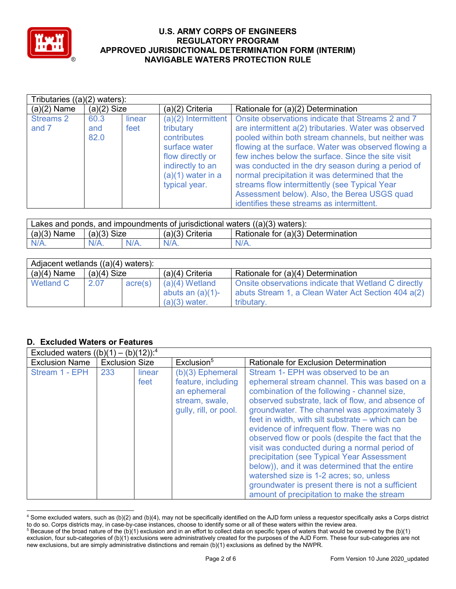

|                           | Tributaries $((a)(2)$ waters): |                |                                                                                                                                                  |                                                                                                                                                                                                                                                                                                                                                                                                                                                                                                                                        |  |  |  |
|---------------------------|--------------------------------|----------------|--------------------------------------------------------------------------------------------------------------------------------------------------|----------------------------------------------------------------------------------------------------------------------------------------------------------------------------------------------------------------------------------------------------------------------------------------------------------------------------------------------------------------------------------------------------------------------------------------------------------------------------------------------------------------------------------------|--|--|--|
| $(a)(2)$ Name             | $(a)(2)$ Size                  |                | (a)(2) Criteria                                                                                                                                  | Rationale for (a)(2) Determination                                                                                                                                                                                                                                                                                                                                                                                                                                                                                                     |  |  |  |
| <b>Streams 2</b><br>and 7 | 60.3<br>and<br>82.0            | linear<br>feet | (a)(2) Intermittent<br>tributary<br>contributes<br>surface water<br>flow directly or<br>indirectly to an<br>$(a)(1)$ water in a<br>typical year. | Onsite observations indicate that Streams 2 and 7<br>are intermittent a(2) tributaries. Water was observed<br>pooled within both stream channels, but neither was<br>flowing at the surface. Water was observed flowing a<br>few inches below the surface. Since the site visit<br>was conducted in the dry season during a period of<br>normal precipitation it was determined that the<br>streams flow intermittently (see Typical Year<br>Assessment below). Also, the Berea USGS quad<br>identifies these streams as intermittent. |  |  |  |

| Lakes and ponds, and impoundments of jurisdictional waters $((a)(3)$ waters): |               |  |                   |                                    |  |
|-------------------------------------------------------------------------------|---------------|--|-------------------|------------------------------------|--|
| $(a)(3)$ Name                                                                 | $(a)(3)$ Size |  | $(a)(3)$ Criteria | Rationale for (a)(3) Determination |  |
| $N/A$ .                                                                       | $N/A$ .       |  | $N/A$ .           | $N/A$ .                            |  |

| Adjacent wetlands $((a)(4)$ waters): |               |                  |                                                            |                                                                                                                          |  |  |  |
|--------------------------------------|---------------|------------------|------------------------------------------------------------|--------------------------------------------------------------------------------------------------------------------------|--|--|--|
| $(a)(4)$ Name                        | $(a)(4)$ Size |                  | $(a)(4)$ Criteria                                          | Rationale for (a)(4) Determination                                                                                       |  |  |  |
| Wetland C                            | 2.07          | $\text{acre}(s)$ | $(a)(4)$ Wetland<br>abuts an $(a)(1)$ -<br>$(a)(3)$ water. | Onsite observations indicate that Wetland C directly<br>abuts Stream 1, a Clean Water Act Section 404 a(2)<br>tributary. |  |  |  |

# **D. Excluded Waters or Features**

|                       | (b)(12)): <sup>4</sup><br>Excluded waters $((b)(1) -$ |                |                                                                                                     |                                                                                                                                                                                                                                                                                                                                                                                                                                                                                                                                                                                                                                                                                               |  |  |  |  |
|-----------------------|-------------------------------------------------------|----------------|-----------------------------------------------------------------------------------------------------|-----------------------------------------------------------------------------------------------------------------------------------------------------------------------------------------------------------------------------------------------------------------------------------------------------------------------------------------------------------------------------------------------------------------------------------------------------------------------------------------------------------------------------------------------------------------------------------------------------------------------------------------------------------------------------------------------|--|--|--|--|
| <b>Exclusion Name</b> | <b>Exclusion Size</b>                                 |                | Exclusion <sup>5</sup>                                                                              | <b>Rationale for Exclusion Determination</b>                                                                                                                                                                                                                                                                                                                                                                                                                                                                                                                                                                                                                                                  |  |  |  |  |
| Stream 1 - EPH        | 233                                                   | linear<br>feet | $(b)(3)$ Ephemeral<br>feature, including<br>an ephemeral<br>stream, swale,<br>gully, rill, or pool. | Stream 1- EPH was observed to be an<br>ephemeral stream channel. This was based on a<br>combination of the following - channel size,<br>observed substrate, lack of flow, and absence of<br>groundwater. The channel was approximately 3<br>feet in width, with silt substrate - which can be<br>evidence of infrequent flow. There was no<br>observed flow or pools (despite the fact that the<br>visit was conducted during a normal period of<br>precipitation (see Typical Year Assessment<br>below)), and it was determined that the entire<br>watershed size is 1-2 acres; so, unless<br>groundwater is present there is not a sufficient<br>amount of precipitation to make the stream |  |  |  |  |

 <sup>4</sup> Some excluded waters, such as (b)(2) and (b)(4), may not be specifically identified on the AJD form unless a requestor specifically asks a Corps district to do so. Corps districts may, in case-by-case instances, choose to identify some or all of these waters within the review area. <sup>5</sup> Because of the broad nature of the (b)(1) exclusion and in an effort to collect data on specific types of waters that would be covered by the (b)(1)

exclusion, four sub-categories of (b)(1) exclusions were administratively created for the purposes of the AJD Form. These four sub-categories are not new exclusions, but are simply administrative distinctions and remain (b)(1) exclusions as defined by the NWPR.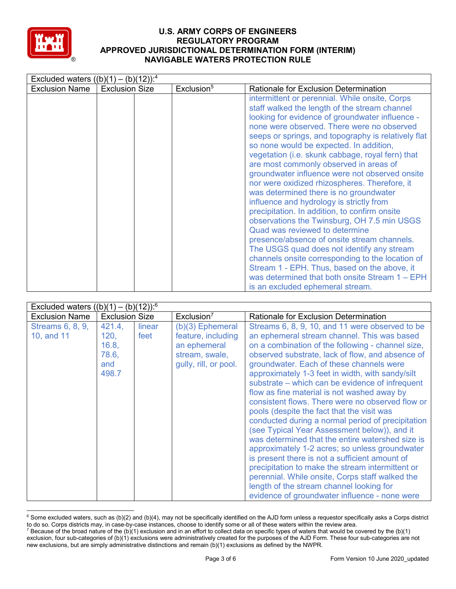

| Excluded waters $((b)(1) - (b)(12))$ : <sup>4</sup> |                       |                        |                                                                                                                                                                                                                                                                                                                                                                                                                                                                                                                                                                                                                                                                                                                                                                                                                                                                                                                                                                                                                    |  |  |  |
|-----------------------------------------------------|-----------------------|------------------------|--------------------------------------------------------------------------------------------------------------------------------------------------------------------------------------------------------------------------------------------------------------------------------------------------------------------------------------------------------------------------------------------------------------------------------------------------------------------------------------------------------------------------------------------------------------------------------------------------------------------------------------------------------------------------------------------------------------------------------------------------------------------------------------------------------------------------------------------------------------------------------------------------------------------------------------------------------------------------------------------------------------------|--|--|--|
| <b>Exclusion Name</b>                               | <b>Exclusion Size</b> | Exclusion <sup>5</sup> | Rationale for Exclusion Determination                                                                                                                                                                                                                                                                                                                                                                                                                                                                                                                                                                                                                                                                                                                                                                                                                                                                                                                                                                              |  |  |  |
|                                                     |                       |                        | intermittent or perennial. While onsite, Corps<br>staff walked the length of the stream channel<br>looking for evidence of groundwater influence -<br>none were observed. There were no observed<br>seeps or springs, and topography is relatively flat<br>so none would be expected. In addition,<br>vegetation (i.e. skunk cabbage, royal fern) that<br>are most commonly observed in areas of<br>groundwater influence were not observed onsite<br>nor were oxidized rhizospheres. Therefore, it<br>was determined there is no groundwater<br>influence and hydrology is strictly from<br>precipitation. In addition, to confirm onsite<br>observations the Twinsburg, OH 7.5 min USGS<br>Quad was reviewed to determine<br>presence/absence of onsite stream channels.<br>The USGS quad does not identify any stream<br>channels onsite corresponding to the location of<br>Stream 1 - EPH. Thus, based on the above, it<br>was determined that both onsite Stream 1 - EPH<br>is an excluded ephemeral stream. |  |  |  |

| Excluded waters $((b)(1) - (b)(12))$ : <sup>6</sup> |                                                  |                |                                                                                                     |                                                                                                                                                                                                                                                                                                                                                                                                                                                                                                                                                                                                                                                                                                                                                                                                                                                                                                                                                                              |
|-----------------------------------------------------|--------------------------------------------------|----------------|-----------------------------------------------------------------------------------------------------|------------------------------------------------------------------------------------------------------------------------------------------------------------------------------------------------------------------------------------------------------------------------------------------------------------------------------------------------------------------------------------------------------------------------------------------------------------------------------------------------------------------------------------------------------------------------------------------------------------------------------------------------------------------------------------------------------------------------------------------------------------------------------------------------------------------------------------------------------------------------------------------------------------------------------------------------------------------------------|
| <b>Exclusion Name</b>                               | <b>Exclusion Size</b>                            |                | Exclusion <sup>7</sup>                                                                              | <b>Rationale for Exclusion Determination</b>                                                                                                                                                                                                                                                                                                                                                                                                                                                                                                                                                                                                                                                                                                                                                                                                                                                                                                                                 |
| Streams 6, 8, 9,<br>10, and 11                      | 421.4,<br>120,<br>16.8,<br>78.6,<br>and<br>498.7 | linear<br>feet | $(b)(3)$ Ephemeral<br>feature, including<br>an ephemeral<br>stream, swale,<br>gully, rill, or pool. | Streams 6, 8, 9, 10, and 11 were observed to be<br>an ephemeral stream channel. This was based<br>on a combination of the following - channel size,<br>observed substrate, lack of flow, and absence of<br>groundwater. Each of these channels were<br>approximately 1-3 feet in width, with sandy/silt<br>substrate – which can be evidence of infrequent<br>flow as fine material is not washed away by<br>consistent flows. There were no observed flow or<br>pools (despite the fact that the visit was<br>conducted during a normal period of precipitation<br>(see Typical Year Assessment below)), and it<br>was determined that the entire watershed size is<br>approximately 1-2 acres; so unless groundwater<br>is present there is not a sufficient amount of<br>precipitation to make the stream intermittent or<br>perennial. While onsite, Corps staff walked the<br>length of the stream channel looking for<br>evidence of groundwater influence - none were |

 $6$  Some excluded waters, such as (b)(2) and (b)(4), may not be specifically identified on the AJD form unless a requestor specifically asks a Corps district to do so. Corps districts may, in case-by-case instances, choose to identify some or all of these waters within the review area. <sup>7</sup> Because of the broad nature of the (b)(1) exclusion and in an effort to collect data on specific types of waters that would be covered by the (b)(1)

exclusion, four sub-categories of (b)(1) exclusions were administratively created for the purposes of the AJD Form. These four sub-categories are not new exclusions, but are simply administrative distinctions and remain (b)(1) exclusions as defined by the NWPR.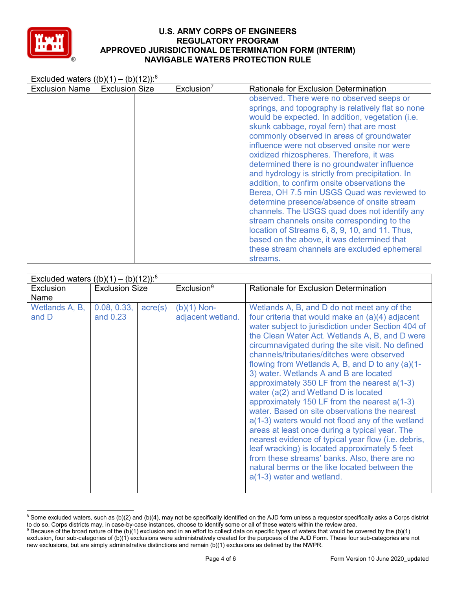

| Excluded waters $((b)(1) - (b)(12))$ : <sup>6</sup> |                       |                        |                                                                                                                                                                                                                                                                                                                                                                                                                                                                                                                                                                                                                                                                                                                                                                                                                                                       |
|-----------------------------------------------------|-----------------------|------------------------|-------------------------------------------------------------------------------------------------------------------------------------------------------------------------------------------------------------------------------------------------------------------------------------------------------------------------------------------------------------------------------------------------------------------------------------------------------------------------------------------------------------------------------------------------------------------------------------------------------------------------------------------------------------------------------------------------------------------------------------------------------------------------------------------------------------------------------------------------------|
| <b>Exclusion Name</b>                               | <b>Exclusion Size</b> | Exclusion <sup>7</sup> | <b>Rationale for Exclusion Determination</b>                                                                                                                                                                                                                                                                                                                                                                                                                                                                                                                                                                                                                                                                                                                                                                                                          |
|                                                     |                       |                        | observed. There were no observed seeps or<br>springs, and topography is relatively flat so none<br>would be expected. In addition, vegetation (i.e.<br>skunk cabbage, royal fern) that are most<br>commonly observed in areas of groundwater<br>influence were not observed onsite nor were<br>oxidized rhizospheres. Therefore, it was<br>determined there is no groundwater influence<br>and hydrology is strictly from precipitation. In<br>addition, to confirm onsite observations the<br>Berea, OH 7.5 min USGS Quad was reviewed to<br>determine presence/absence of onsite stream<br>channels. The USGS quad does not identify any<br>stream channels onsite corresponding to the<br>location of Streams 6, 8, 9, 10, and 11. Thus,<br>based on the above, it was determined that<br>these stream channels are excluded ephemeral<br>streams. |

|                         | Excluded waters $((b)(1) - (b)(12))$ : <sup>8</sup> |                  |                                  |                                                                                                                                                                                                                                                                                                                                                                                                                                                                                                                                                                                                                                                                                                                                                                                                                                                                                                                                                |  |  |  |
|-------------------------|-----------------------------------------------------|------------------|----------------------------------|------------------------------------------------------------------------------------------------------------------------------------------------------------------------------------------------------------------------------------------------------------------------------------------------------------------------------------------------------------------------------------------------------------------------------------------------------------------------------------------------------------------------------------------------------------------------------------------------------------------------------------------------------------------------------------------------------------------------------------------------------------------------------------------------------------------------------------------------------------------------------------------------------------------------------------------------|--|--|--|
| <b>Exclusion</b>        | <b>Exclusion Size</b>                               |                  | Exclusion <sup>9</sup>           | Rationale for Exclusion Determination                                                                                                                                                                                                                                                                                                                                                                                                                                                                                                                                                                                                                                                                                                                                                                                                                                                                                                          |  |  |  |
| Name                    |                                                     |                  |                                  |                                                                                                                                                                                                                                                                                                                                                                                                                                                                                                                                                                                                                                                                                                                                                                                                                                                                                                                                                |  |  |  |
| Wetlands A, B,<br>and D | 0.08, 0.33,<br>and $0.23$                           | $\text{acre}(s)$ | (b)(1) Non-<br>adjacent wetland. | Wetlands A, B, and D do not meet any of the<br>four criteria that would make an (a)(4) adjacent<br>water subject to jurisdiction under Section 404 of<br>the Clean Water Act. Wetlands A, B, and D were<br>circumnavigated during the site visit. No defined<br>channels/tributaries/ditches were observed<br>flowing from Wetlands A, B, and D to any (a)(1-<br>3) water. Wetlands A and B are located<br>approximately 350 LF from the nearest a(1-3)<br>water (a(2) and Wetland D is located<br>approximately 150 LF from the nearest a(1-3)<br>water. Based on site observations the nearest<br>a(1-3) waters would not flood any of the wetland<br>areas at least once during a typical year. The<br>nearest evidence of typical year flow (i.e. debris,<br>leaf wracking) is located approximately 5 feet<br>from these streams' banks. Also, there are no<br>natural berms or the like located between the<br>a(1-3) water and wetland. |  |  |  |

<sup>&</sup>lt;sup>8</sup> Some excluded waters, such as (b)(2) and (b)(4), may not be specifically identified on the AJD form unless a requestor specifically asks a Corps district to do so. Corps districts may, in case-by-case instances, choose to identify some or all of these waters within the review area.

<sup>&</sup>lt;sup>9</sup> Because of the broad nature of the (b)(1) exclusion and in an effort to collect data on specific types of waters that would be covered by the (b)(1) exclusion, four sub-categories of (b)(1) exclusions were administratively created for the purposes of the AJD Form. These four sub-categories are not new exclusions, but are simply administrative distinctions and remain (b)(1) exclusions as defined by the NWPR.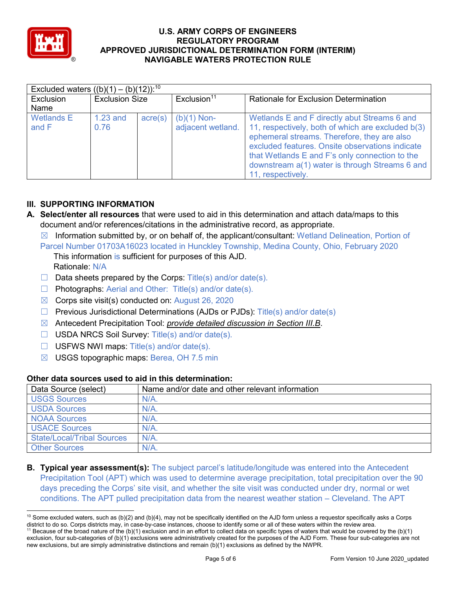

| Excluded waters $((b)(1) - (b)(12))$ : <sup>10</sup> |                       |         |                                    |                                                                                                                                                                                                                                                                                                                              |  |  |
|------------------------------------------------------|-----------------------|---------|------------------------------------|------------------------------------------------------------------------------------------------------------------------------------------------------------------------------------------------------------------------------------------------------------------------------------------------------------------------------|--|--|
| Exclusion                                            | <b>Exclusion Size</b> |         | Exclusion <sup>11</sup>            | <b>Rationale for Exclusion Determination</b>                                                                                                                                                                                                                                                                                 |  |  |
| Name                                                 |                       |         |                                    |                                                                                                                                                                                                                                                                                                                              |  |  |
| <b>Wetlands E</b><br>and F                           | $1.23$ and<br>0.76    | acre(s) | $(b)(1)$ Non-<br>adjacent wetland. | Wetlands E and F directly abut Streams 6 and<br>11, respectively, both of which are excluded b(3)<br>ephemeral streams. Therefore, they are also<br>excluded features. Onsite observations indicate<br>that Wetlands E and F's only connection to the<br>downstream a(1) water is through Streams 6 and<br>11, respectively. |  |  |

# **III. SUPPORTING INFORMATION**

- **A. Select/enter all resources** that were used to aid in this determination and attach data/maps to this document and/or references/citations in the administrative record, as appropriate.
	- $\boxtimes$  Information submitted by, or on behalf of, the applicant/consultant: Wetland Delineation, Portion of
	- Parcel Number 01703A16023 located in Hunckley Township, Medina County, Ohio, February 2020 This information is sufficient for purposes of this AJD. Rationale: N/A
	- $\Box$  Data sheets prepared by the Corps: Title(s) and/or date(s).
	- ☐ Photographs: Aerial and Other: Title(s) and/or date(s).
	- $\boxtimes$  Corps site visit(s) conducted on: August 26, 2020
	- ☐ Previous Jurisdictional Determinations (AJDs or PJDs): Title(s) and/or date(s)
	- ☒ Antecedent Precipitation Tool: *provide detailed discussion in Section III.B*.
	- ☐ USDA NRCS Soil Survey: Title(s) and/or date(s).
	- $\Box$  USFWS NWI maps: Title(s) and/or date(s).
	- $\boxtimes$  USGS topographic maps: Berea, OH 7.5 min

# **Other data sources used to aid in this determination:**

| Data Source (select)              | Name and/or date and other relevant information |
|-----------------------------------|-------------------------------------------------|
| USGS Sources                      | $N/A$ .                                         |
| <b>USDA Sources</b>               | N/A                                             |
| NOAA Sources                      | N/A.                                            |
| <b>USACE Sources</b>              | N/A                                             |
| <b>State/Local/Tribal Sources</b> | N/A                                             |
| <b>Other Sources</b>              | N/A                                             |

**B. Typical year assessment(s):** The subject parcel's latitude/longitude was entered into the Antecedent Precipitation Tool (APT) which was used to determine average precipitation, total precipitation over the 90 days preceding the Corps' site visit, and whether the site visit was conducted under dry, normal or wet conditions. The APT pulled precipitation data from the nearest weather station – Cleveland. The APT

 $10$  Some excluded waters, such as (b)(2) and (b)(4), may not be specifically identified on the AJD form unless a requestor specifically asks a Corps district to do so. Corps districts may, in case-by-case instances, choose to identify some or all of these waters within the review area. <sup>11</sup> Because of the broad nature of the (b)(1) exclusion and in an effort to collect data on specific types of waters that would be covered by the (b)(1) exclusion, four sub-categories of (b)(1) exclusions were administratively created for the purposes of the AJD Form. These four sub-categories are not new exclusions, but are simply administrative distinctions and remain (b)(1) exclusions as defined by the NWPR.